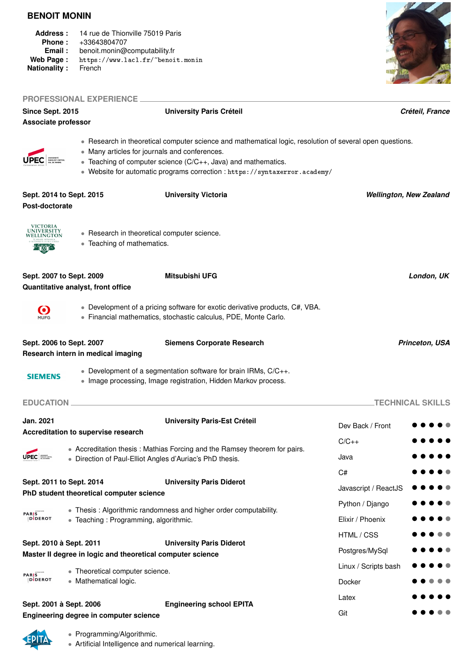#### **BENOIT MONIN**

- **Address :** 14 rue de Thionville 75019 Paris
- **Phone :** +33643804707
- **Email :** benoit.monin@computability.fr
- Web Page: https://www.lacl.fr/~benoit.monin<br>Nationality: French
- **Nationality :**



|                                                                                       | <b>PROFESSIONAL EXPERIENCE</b>           |                                                                                                                                                                                                                                                                                                          |                                |
|---------------------------------------------------------------------------------------|------------------------------------------|----------------------------------------------------------------------------------------------------------------------------------------------------------------------------------------------------------------------------------------------------------------------------------------------------------|--------------------------------|
| Since Sept. 2015                                                                      |                                          | <b>University Paris Créteil</b>                                                                                                                                                                                                                                                                          | Créteil, France                |
| Associate professor                                                                   |                                          |                                                                                                                                                                                                                                                                                                          |                                |
|                                                                                       |                                          | • Research in theoretical computer science and mathematical logic, resolution of several open questions.<br>• Many articles for journals and conferences.<br>• Teaching of computer science (C/C++, Java) and mathematics.<br>• Website for automatic programs correction : https://syntaxerror.academy/ |                                |
| Sept. 2014 to Sept. 2015<br>Post-doctorate                                            |                                          | <b>University Victoria</b>                                                                                                                                                                                                                                                                               | <b>Wellington, New Zealand</b> |
| VICTORIA<br>UNIVERSITY<br>WELLINGTON                                                  | • Teaching of mathematics.               | • Research in theoretical computer science.                                                                                                                                                                                                                                                              |                                |
| Sept. 2007 to Sept. 2009                                                              | Quantitative analyst, front office       | Mitsubishi UFG                                                                                                                                                                                                                                                                                           | London, UK                     |
| $\boldsymbol{\Theta}$<br><b>MUFG</b>                                                  |                                          | • Development of a pricing software for exotic derivative products, C#, VBA.<br>· Financial mathematics, stochastic calculus, PDE, Monte Carlo.                                                                                                                                                          |                                |
| Sept. 2006 to Sept. 2007                                                              | Research intern in medical imaging       | <b>Siemens Corporate Research</b>                                                                                                                                                                                                                                                                        | <b>Princeton, USA</b>          |
| <b>SIEMENS</b>                                                                        |                                          | • Development of a segmentation software for brain IRMs, C/C++.<br>• Image processing, Image registration, Hidden Markov process.                                                                                                                                                                        |                                |
| <b>EDUCATION</b>                                                                      |                                          |                                                                                                                                                                                                                                                                                                          | <b>TECHNICAL SKILLS</b>        |
| Jan. 2021                                                                             | Accreditation to supervise research      | <b>University Paris-Est Créteil</b>                                                                                                                                                                                                                                                                      | Dev Back / Front               |
|                                                                                       |                                          | • Accreditation thesis: Mathias Forcing and the Ramsey theorem for pairs.                                                                                                                                                                                                                                | $C/C_{++}$                     |
| <b>UPEC I</b>                                                                         |                                          | • Direction of Paul-Elliot Angles d'Auriac's PhD thesis.                                                                                                                                                                                                                                                 | Java                           |
|                                                                                       |                                          |                                                                                                                                                                                                                                                                                                          | C#                             |
| Sept. 2011 to Sept. 2014                                                              | PhD student theoretical computer science | <b>University Paris Diderot</b>                                                                                                                                                                                                                                                                          | Javascript / ReactJS           |
|                                                                                       |                                          | • Thesis: Algorithmic randomness and higher order computability.                                                                                                                                                                                                                                         | Python / Django                |
| <b>PARIS</b><br><b>DIDEROT</b>                                                        | • Teaching: Programming, algorithmic.    |                                                                                                                                                                                                                                                                                                          | Elixir / Phoenix               |
|                                                                                       |                                          |                                                                                                                                                                                                                                                                                                          | HTML / CSS                     |
| Sept. 2010 à Sept. 2011<br>Master II degree in logic and theoretical computer science |                                          | <b>University Paris Diderot</b>                                                                                                                                                                                                                                                                          | Postgres/MySql                 |
|                                                                                       | • Theoretical computer science.          |                                                                                                                                                                                                                                                                                                          | Linux / Scripts bash           |
| <b>PARIS</b><br>DIDEROT                                                               | • Mathematical logic.                    |                                                                                                                                                                                                                                                                                                          | Docker                         |
|                                                                                       |                                          |                                                                                                                                                                                                                                                                                                          | Latex                          |
| Sept. 2001 à Sept. 2006                                                               | Engineering degree in computer science   | <b>Engineering school EPITA</b>                                                                                                                                                                                                                                                                          | Git                            |

### • Programming/Algorithmic.

**Engineering degree in computer science**

• Artificial Intelligence and numerical learning.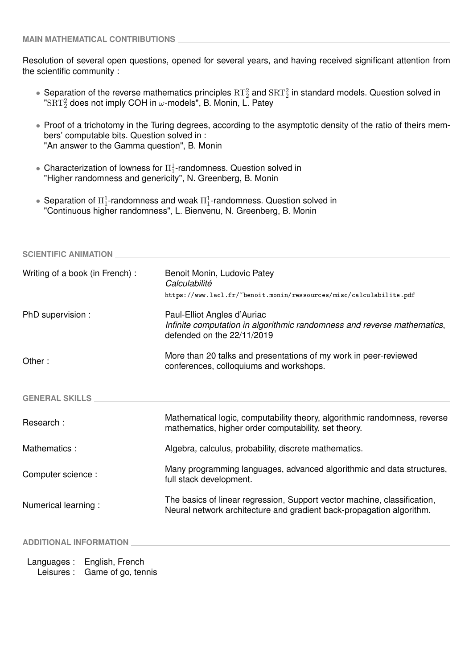Resolution of several open questions, opened for several years, and having received significant attention from the scientific community :

- Separation of the reverse mathematics principles  $RT_2^2$  and  $SRT_2^2$  in standard models. Question solved in " $\mathrm{SRT}_2^2$  does not imply COH in  $\omega$ -models", B. Monin, L. Patey
- Proof of a trichotomy in the Turing degrees, according to the asymptotic density of the ratio of theirs members' computable bits. Question solved in : "An answer to the Gamma question", B. Monin
- Characterization of lowness for  $\Pi^1_1$ -randomness. Question solved in "Higher randomness and genericity", N. Greenberg, B. Monin
- Separation of  $\Pi^1_1$ -randomness and weak  $\Pi^1_1$ -randomness. Question solved in "Continuous higher randomness", L. Bienvenu, N. Greenberg, B. Monin

| <b>SCIENTIFIC ANIMATION</b>     |                                                                                                                                                  |
|---------------------------------|--------------------------------------------------------------------------------------------------------------------------------------------------|
| Writing of a book (in French) : | Benoit Monin, Ludovic Patey<br>Calculabilité<br>https://www.lacl.fr/~benoit.monin/ressources/misc/calculabilite.pdf                              |
| PhD supervision :               | Paul-Elliot Angles d'Auriac<br>Infinite computation in algorithmic randomness and reverse mathematics,<br>defended on the 22/11/2019             |
| Other:                          | More than 20 talks and presentations of my work in peer-reviewed<br>conferences, colloquiums and workshops.                                      |
| <b>GENERAL SKILLS</b>           |                                                                                                                                                  |
| Research:                       | Mathematical logic, computability theory, algorithmic randomness, reverse<br>mathematics, higher order computability, set theory.                |
| Mathematics:                    | Algebra, calculus, probability, discrete mathematics.                                                                                            |
| Computer science:               | Many programming languages, advanced algorithmic and data structures,<br>full stack development.                                                 |
| Numerical learning :            | The basics of linear regression, Support vector machine, classification,<br>Neural network architecture and gradient back-propagation algorithm. |
| <b>ADDITIONAL INFORMATION</b>   |                                                                                                                                                  |
| English, French<br>Languages:   |                                                                                                                                                  |

Leisures : Game of go, tennis